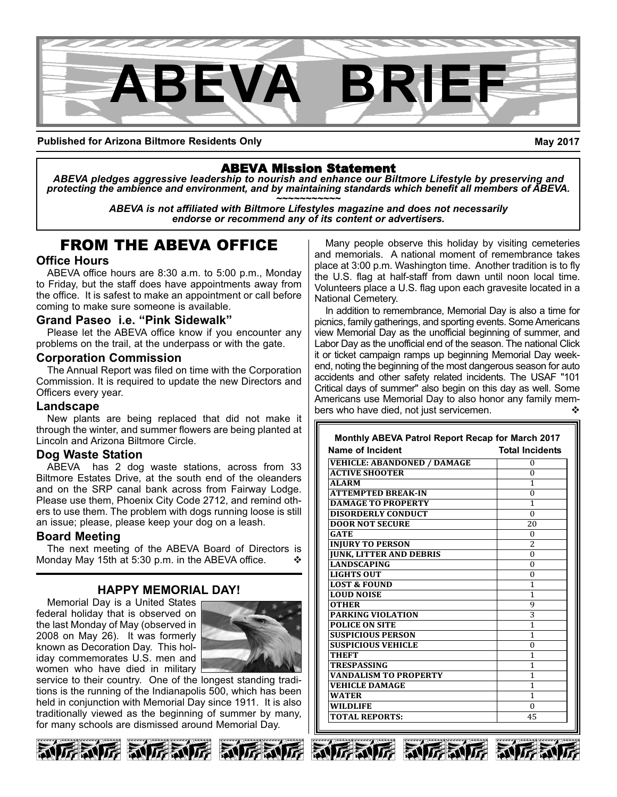

**Published for Arizona Biltmore Residents Only**

**May 2017**

## ABEVA Mission Statement

*ABEVA pledges aggressive leadership to nourish and enhance our Biltmore Lifestyle by preserving and* protecting the ambience and environment, and by maintaining standards which benefit all members of ABEVA.<br>ABEVA is not affiliated with Biltmore Lifestyles magazine and does not necessarily

*endorse or recommend any of its content or advertisers.*

## FROM THE ABEVA OFFICE

## **Office Hours**

ABEVA office hours are 8:30 a.m. to 5:00 p.m., Monday to Friday, but the staff does have appointments away from the office. It is safest to make an appointment or call before coming to make sure someone is available.

## **Grand Paseo i.e. "Pink Sidewalk"**

Please let the ABEVA office know if you encounter any problems on the trail, at the underpass or with the gate.

#### **Corporation Commission**

The Annual Report was filed on time with the Corporation Commission. It is required to update the new Directors and Officers every year.

#### **Landscape**

New plants are being replaced that did not make it through the winter, and summer flowers are being planted at Lincoln and Arizona Biltmore Circle.

## **Dog Waste Station**

ABEVA has 2 dog waste stations, across from 33 Biltmore Estates Drive, at the south end of the oleanders and on the SRP canal bank across from Fairway Lodge. Please use them, Phoenix City Code 2712, and remind others to use them. The problem with dogs running loose is still an issue; please, please keep your dog on a leash.

## **Board Meeting**

The next meeting of the ABEVA Board of Directors is Monday May 15th at 5:30 p.m. in the ABEVA office.

## **HAPPY MEMORIAL DAY!**

Memorial Day is a United States federal holiday that is observed on the last Monday of May (observed in 2008 on May 26). It was formerly known as Decoration Day. This holiday commemorates U.S. men and women who have died in military



service to their country. One of the longest standing traditions is the running of the Indianapolis 500, which has been held in conjunction with Memorial Day since 1911. It is also traditionally viewed as the beginning of summer by many, for many schools are dismissed around Memorial Day.







Many people observe this holiday by visiting cemeteries and memorials. A national moment of remembrance takes place at 3:00 p.m. Washington time. Another tradition is to fly the U.S. flag at half-staff from dawn until noon local time. Volunteers place a U.S. flag upon each gravesite located in a National Cemetery.

In addition to remembrance, Memorial Day is also a time for picnics, family gatherings, and sporting events. Some Americans view Memorial Day as the unofficial beginning of summer, and Labor Day as the unofficial end of the season. The national Click it or ticket campaign ramps up beginning Memorial Day weekend, noting the beginning of the most dangerous season for auto accidents and other safety related incidents. The USAF "101 Critical days of summer" also begin on this day as well. Some Americans use Memorial Day to also honor any family members who have died, not just servicemen.

| Name of Incident                   | <b>Total Incidents</b> |
|------------------------------------|------------------------|
| <b>VEHICLE: ABANDONED / DAMAGE</b> | $\Omega$               |
| <b>ACTIVE SHOOTER</b>              | $\Omega$               |
| <b>ALARM</b>                       | 1                      |
| <b>ATTEMPTED BREAK-IN</b>          | $\theta$               |
| <b>DAMAGE TO PROPERTY</b>          | 1                      |
| <b>DISORDERLY CONDUCT</b>          | $\Omega$               |
| <b>DOOR NOT SECURE</b>             | 20                     |
| <b>GATE</b>                        | $\Omega$               |
| <b>INJURY TO PERSON</b>            | $\overline{c}$         |
| <b>JUNK, LITTER AND DEBRIS</b>     | $\Omega$               |
| <b>LANDSCAPING</b>                 | $\theta$               |
| <b>LIGHTS OUT</b>                  | $\theta$               |
| <b>LOST &amp; FOUND</b>            | 1                      |
| <b>LOUD NOISE</b>                  | 1                      |
| <b>OTHER</b>                       | 9                      |
| <b>PARKING VIOLATION</b>           | 3                      |
| <b>POLICE ON SITE</b>              | 1                      |
| <b>SUSPICIOUS PERSON</b>           | $\mathbf{1}$           |
| <b>SUSPICIOUS VEHICLE</b>          | $\theta$               |
| <b>THEFT</b>                       | 1                      |
| <b>TRESPASSING</b>                 | 1                      |
| <b>VANDALISM TO PROPERTY</b>       | 1                      |
| <b>VEHICLE DAMAGE</b>              | $\mathbf{1}$           |
| <b>WATER</b>                       | 1                      |
| <b>WILDLIFE</b>                    | $\Omega$               |
| <b>TOTAL REPORTS:</b>              | 45                     |





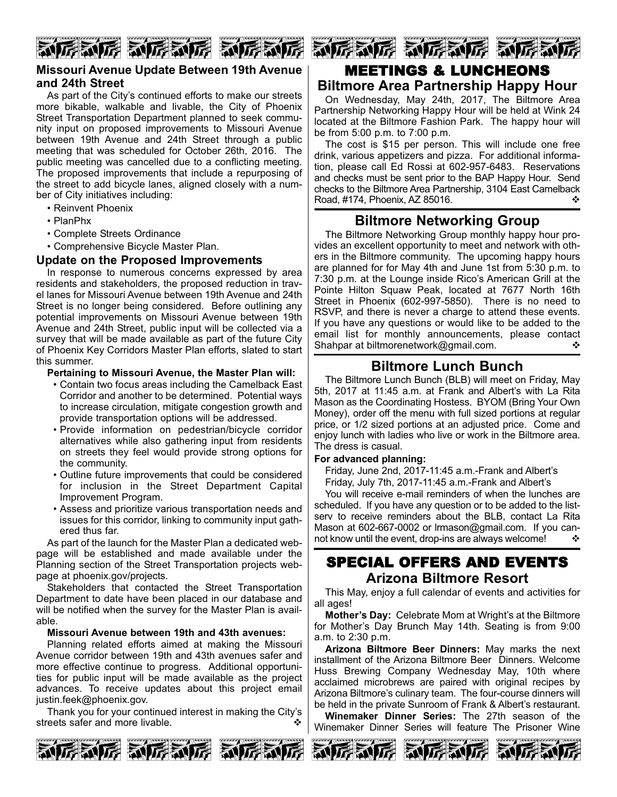# 厉利厉 动厉利厉 动厉利

## **Missouri Avenue Update Between 19th Avenue and 24th Street**

As part of the City's continued efforts to make our streets more bikable, walkable and livable, the City of Phoenix Street Transportation Department planned to seek community input on proposed improvements to Missouri Avenue between 19th Avenue and 24th Street through a public meeting that was scheduled for October 26th, 2016. The public meeting was cancelled due to a conflicting meeting. The proposed improvements that include a repurposing of the street to add bicycle lanes, aligned closely with a number of City initiatives including:

- Reinvent Phoenix
- PlanPhx
- Complete Streets Ordinance

• Comprehensive Bicycle Master Plan.

## **Update on the Proposed Improvements**

In response to numerous concerns expressed by area residents and stakeholders, the proposed reduction in travel lanes for Missouri Avenue between 19th Avenue and 24th Street is no longer being considered. Before outlining any potential improvements on Missouri Avenue between 19th Avenue and 24th Street, public input will be collected via a survey that will be made available as part of the future City of Phoenix Key Corridors Master Plan efforts, slated to start this summer.

#### **Pertaining to Missouri Avenue, the Master Plan will:**

- Contain two focus areas including the Camelback East Corridor and another to be determined. Potential ways to increase circulation, mitigate congestion growth and provide transportation options will be addressed.
- Provide information on pedestrian/bicycle corridor alternatives while also gathering input from residents on streets they feel would provide strong options for the community.
- Outline future improvements that could be considered for inclusion in the Street Department Capital Improvement Program.
- Assess and prioritize various transportation needs and issues for this corridor, linking to community input gathered thus far.

As part of the launch for the Master Plan a dedicated webpage will be established and made available under the Planning section of the Street Transportation projects webpage at phoenix.gov/projects.

Stakeholders that contacted the Street Transportation Department to date have been placed in our database and will be notified when the survey for the Master Plan is available.

#### **Missouri Avenue between 19th and 43th avenues:**

Planning related efforts aimed at making the Missouri Avenue corridor between 19th and 43th avenues safer and more effective continue to progress. Additional opportunities for public input will be made available as the project advances. To receive updates about this project email justin.feek@phoenix.gov.

Thank you for your continued interest in making the City's streets safer and more livable.  $\cdot$ 





## MEETINGS & LUNCHEONS **Biltmore Area Partnership Happy Hour**

On Wednesday, May 24th, 2017, The Biltmore Area Partnership Networking Happy Hour will be held at Wink 24 located at the Biltmore Fashion Park. The happy hour will be from 5:00 p.m. to 7:00 p.m.

The cost is \$15 per person. This will include one free drink, various appetizers and pizza. For additional information, please call Ed Rossi at 602-957-6483. Reservations and checks must be sent prior to the BAP Happy Hour. Send checks to the Biltmore Area Partnership, 3104 East Camelback Road, #174, Phoenix, AZ 85016. v

## **Biltmore Networking Group**

The Biltmore Networking Group monthly happy hour provides an excellent opportunity to meet and network with others in the Biltmore community. The upcoming happy hours are planned for for May 4th and June 1st from 5:30 p.m. to 7:30 p.m. at the Lounge inside Rico's American Grill at the Pointe Hilton Squaw Peak, located at 7677 North 16th Street in Phoenix (602-997-5850). There is no need to RSVP, and there is never a charge to attend these events. If you have any questions or would like to be added to the email list for monthly announcements, please contact Shahpar at biltmorenetwork@gmail.com.  $\diamond$ 

## **Biltmore Lunch Bunch**

The Biltmore Lunch Bunch (BLB) will meet on Friday, May 5th, 2017 at 11:45 a.m. at Frank and Albert's with La Rita Mason as the Coordinating Hostess. BYOM (Bring Your Own Money), order off the menu with full sized portions at regular price, or 1/2 sized portions at an adjusted price. Come and enjoy lunch with ladies who live or work in the Biltmore area. The dress is casual.

#### **For advanced planning:**

Friday, June 2nd, 2017-11:45 a.m.-Frank and Albert's Friday, July 7th, 2017-11:45 a.m.-Frank and Albert's

You will receive e-mail reminders of when the lunches are scheduled. If you have any question or to be added to the listserv to receive reminders about the BLB, contact La Rita Mason at 602-667-0002 or Irmason@gmail.com. If you cannot know until the event, drop-ins are always welcome!  $\cdot \cdot \cdot$ 

## SPECIAL OFFERS AND EVENTS **Arizona Biltmore Resort**

This May, enjoy a full calendar of events and activities for all ages!

**Mother's Day:** Celebrate Mom at Wright's at the Biltmore for Mother's Day Brunch May 14th. Seating is from 9:00 a.m. to 2:30 p.m.

**Arizona Biltmore Beer Dinners:** May marks the next installment of the Arizona Biltmore Beer Dinners. Welcome Huss Brewing Company Wednesday May, 10th where acclaimed microbrews are paired with original recipes by Arizona Biltmore's culinary team. The four-course dinners will be held in the private Sunroom of Frank & Albert's restaurant.

**Winemaker Dinner Series:** The 27th season of the Winemaker Dinner Series will feature The Prisoner Wine





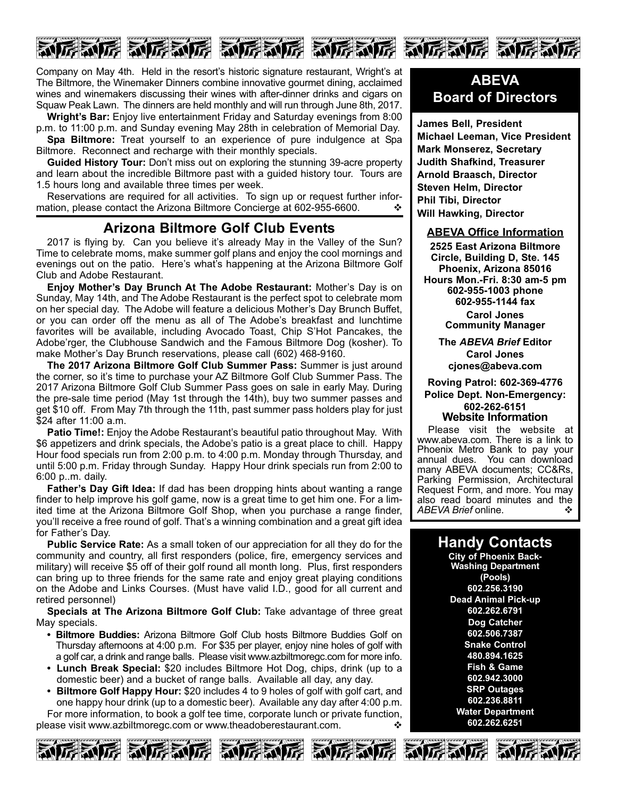

Company on May 4th. Held in the resort's historic signature restaurant, Wright's at The Biltmore, the Winemaker Dinners combine innovative gourmet dining, acclaimed wines and winemakers discussing their wines with after-dinner drinks and cigars on Squaw Peak Lawn. The dinners are held monthly and will run through June 8th, 2017.

**Wright's Bar:** Enjoy live entertainment Friday and Saturday evenings from 8:00 p.m. to 11:00 p.m. and Sunday evening May 28th in celebration of Memorial Day. **Spa Biltmore:** Treat yourself to an experience of pure indulgence at Spa

Biltmore. Reconnect and recharge with their monthly specials. **Guided History Tour:** Don't miss out on exploring the stunning 39-acre property

and learn about the incredible Biltmore past with a guided history tour. Tours are 1.5 hours long and available three times per week.

Reservations are required for all activities. To sign up or request further information, please contact the Arizona Biltmore Concierge at 602-955-6600.  $\cdot\cdot\cdot$ 

## **Arizona Biltmore Golf Club Events**

2017 is flying by. Can you believe it's already May in the Valley of the Sun? Time to celebrate moms, make summer golf plans and enjoy the cool mornings and evenings out on the patio. Here's what's happening at the Arizona Biltmore Golf Club and Adobe Restaurant.

**Enjoy Mother's Day Brunch At The Adobe Restaurant:** Mother's Day is on Sunday, May 14th, and The Adobe Restaurant is the perfect spot to celebrate mom on her special day. The Adobe will feature a delicious Mother's Day Brunch Buffet, or you can order off the menu as all of The Adobe's breakfast and lunchtime favorites will be available, including Avocado Toast, Chip S'Hot Pancakes, the Adobe'rger, the Clubhouse Sandwich and the Famous Biltmore Dog (kosher). To make Mother's Day Brunch reservations, please call (602) 468-9160.

**The 2017 Arizona Biltmore Golf Club Summer Pass:** Summer is just around the corner, so it's time to purchase your AZ Biltmore Golf Club Summer Pass. The 2017 Arizona Biltmore Golf Club Summer Pass goes on sale in early May. During the presale time period (May 1st through the 14th), buy two summer passes and get \$10 off. From May 7th through the 11th, past summer pass holders play for just \$24 after 11:00 a.m.

**Patio Time!:** Enjoy the Adobe Restaurant's beautiful patio throughout May. With \$6 appetizers and drink specials, the Adobe's patio is a great place to chill. Happy Hour food specials run from 2:00 p.m. to 4:00 p.m. Monday through Thursday, and until 5:00 p.m. Friday through Sunday. Happy Hour drink specials run from 2:00 to 6:00 p..m. daily.

**Father's Day Gift Idea:** If dad has been dropping hints about wanting a range finder to help improve his golf game, now is a great time to get him one. For a limited time at the Arizona Biltmore Golf Shop, when you purchase a range finder, you'll receive a free round of golf. That's a winning combination and a great gift idea for Father's Day.

**Public Service Rate:** As a small token of our appreciation for all they do for the community and country, all first responders (police, fire, emergency services and military) will receive \$5 off of their golf round all month long. Plus, first responders can bring up to three friends for the same rate and enjoy great playing conditions on the Adobe and Links Courses. (Must have valid I.D., good for all current and retired personnel)

**Specials at The Arizona Biltmore Golf Club:** Take advantage of three great May specials.

- **Biltmore Buddies:** Arizona Biltmore Golf Club hosts Biltmore Buddies Golf on Thursday afternoons at 4:00 p.m. For \$35 per player, enjoy nine holes of golf with a golf car, a drink and range balls. Please visit www.azbiltmoregc.com for more info.
- **Lunch Break Special:** \$20 includes Biltmore Hot Dog, chips, drink (up to a domestic beer) and a bucket of range balls. Available all day, any day.
- **Biltmore Golf Happy Hour:** \$20 includes 4 to 9 holes of golf with golf cart, and one happy hour drink (up to a domestic beer). Available any day after 4:00 p.m.

For more information, to book a golf tee time, corporate lunch or private function, please visit www.azbiltmoregc.com or www.theadoberestaurant.com.  $\bm{\cdot}$ 









## **ABEVA Board of Directors**

**James Bell, President Michael Leeman, Vice President Mark Monserez, Secretary Judith Shafkind, Treasurer Arnold Braasch, Director Steven Helm, Director Phil Tibi, Director Will Hawking, Director**

#### **ABEVA Office Information**

**2525 East Arizona Biltmore Circle, Building D, Ste. 145 Phoenix, Arizona 85016 Hours Mon.Fri. 8:30 am5 pm 6029551003 phone 6029551144 fax Carol Jones Community Manager**

> **The** *ABEVA Brief* **Editor Carol Jones cjones@abeva.com**

**Roving Patrol: 6023694776 Police Dept. Non-Emergency: 6022626151 Website Information**

Please visit the website at www.abeva.com. There is a link to Phoenix Metro Bank to pay your annual dues. You can download many ABEVA documents; CC&Rs, Parking Permission, Architectural Request Form, and more. You may also read board minutes and the ABEVA Brief online. ABEVA Brief online.

## **Handy Contacts**

**City of Phoenix Back-Washing Department (Pools) 602.256.3190 Dead Animal Pick-up 602.262.6791 Dog Catcher 602.506.7387 Snake Control 480.894.1625 Fish & Game 602.942.3000 SRP Outages 602.236.8811 Water Department 602.262.6251**